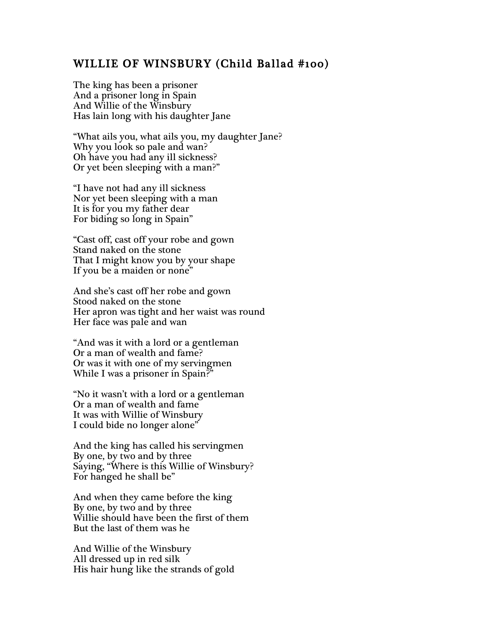## WILLIE OF WINSBURY (Child Ballad #100)

The king has been a prisoner And a prisoner long in Spain And Willie of the Winsbury Has lain long with his daughter Jane

"What ails you, what ails you, my daughter Jane? Why you look so pale and wan? Oh have you had any ill sickness? Or yet been sleeping with a man?"

"I have not had any ill sickness Nor yet been sleeping with a man It is for you my father dear For biding so long in Spain"

"Cast off, cast off your robe and gown Stand naked on the stone That I might know you by your shape If you be a maiden or none"

And she's cast off her robe and gown Stood naked on the stone Her apron was tight and her waist was round Her face was pale and wan

"And was it with a lord or a gentleman Or a man of wealth and fame? Or was it with one of my servingmen While I was a prisoner in Spain?"

"No it wasn't with a lord or a gentleman Or a man of wealth and fame It was with Willie of Winsbury I could bide no longer alone"

And the king has called his servingmen By one, by two and by three Saying, "Where is this Willie of Winsbury? For hanged he shall be"

And when they came before the king By one, by two and by three Willie should have been the first of them But the last of them was he

And Willie of the Winsbury All dressed up in red silk His hair hung like the strands of gold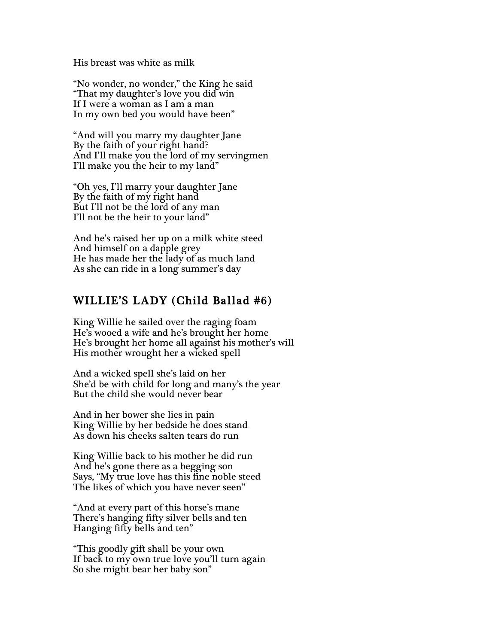His breast was white as milk

"No wonder, no wonder," the King he said "That my daughter's love you did win If I were a woman as I am a man In my own bed you would have been"

"And will you marry my daughter Jane By the faith of your right hand? And I'll make you the lord of my servingmen I'll make you the heir to my land"

"Oh yes, I'll marry your daughter Jane By the faith of my right hand But I'll not be the lord of any man I'll not be the heir to your land"

And he's raised her up on a milk white steed And himself on a dapple grey He has made her the lady of as much land As she can ride in a long summer's day

### WILLIE'S LADY (Child Ballad #6)

King Willie he sailed over the raging foam He's wooed a wife and he's brought her home He's brought her home all against his mother's will His mother wrought her a wicked spell

And a wicked spell she's laid on her She'd be with child for long and many's the year But the child she would never bear

And in her bower she lies in pain King Willie by her bedside he does stand As down his cheeks salten tears do run

King Willie back to his mother he did run And he's gone there as a begging son Says, "My true love has this fine noble steed The likes of which you have never seen"

"And at every part of this horse's mane There's hanging fifty silver bells and ten Hanging fifty bells and ten"

"This goodly gift shall be your own If back to my own true love you'll turn again So she might bear her baby son"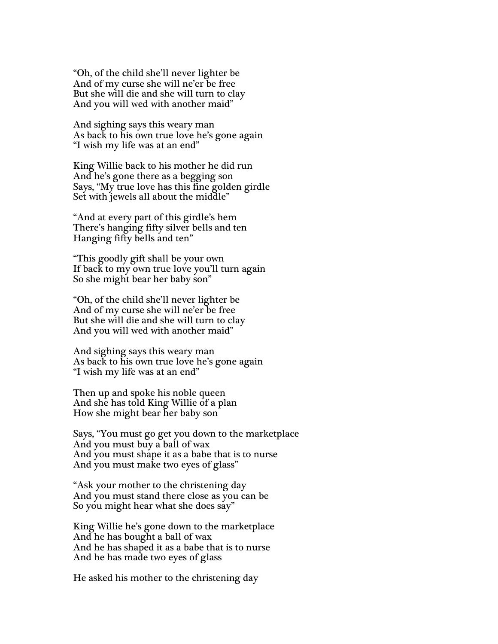"Oh, of the child she'll never lighter be And of my curse she will ne'er be free But she will die and she will turn to clay And you will wed with another maid"

And sighing says this weary man As back to his own true love he's gone again "I wish my life was at an end"

King Willie back to his mother he did run And he's gone there as a begging son Says, "My true love has this fine golden girdle Set with jewels all about the middle"

"And at every part of this girdle's hem There's hanging fifty silver bells and ten Hanging fifty bells and ten"

"This goodly gift shall be your own If back to my own true love you'll turn again So she might bear her baby son"

"Oh, of the child she'll never lighter be And of my curse she will ne'er be free But she will die and she will turn to clay And you will wed with another maid"

And sighing says this weary man As back to his own true love he's gone again "I wish my life was at an end"

Then up and spoke his noble queen And she has told King Willie of a plan How she might bear her baby son

Says, "You must go get you down to the marketplace And you must buy a ball of wax And you must shape it as a babe that is to nurse And you must make two eyes of glass"

"Ask your mother to the christening day And you must stand there close as you can be So you might hear what she does say"

King Willie he's gone down to the marketplace And he has bought a ball of wax And he has shaped it as a babe that is to nurse And he has made two eyes of glass

He asked his mother to the christening day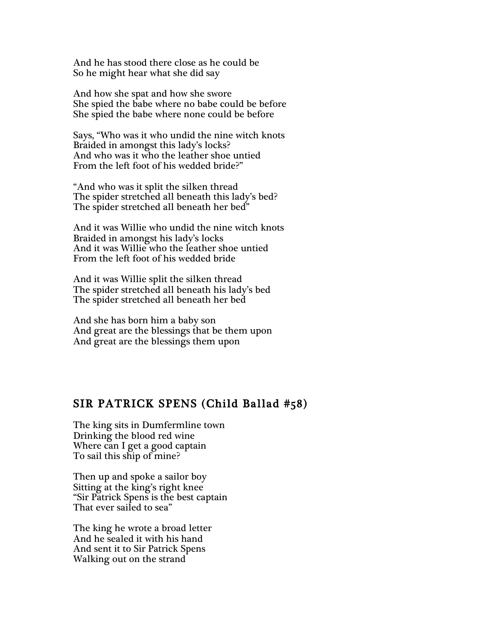And he has stood there close as he could be So he might hear what she did say

And how she spat and how she swore She spied the babe where no babe could be before She spied the babe where none could be before

Says, "Who was it who undid the nine witch knots Braided in amongst this lady's locks? And who was it who the leather shoe untied From the left foot of his wedded bride?"

"And who was it split the silken thread The spider stretched all beneath this lady's bed? The spider stretched all beneath her bed"

And it was Willie who undid the nine witch knots Braided in amongst his lady's locks And it was Willie who the leather shoe untied From the left foot of his wedded bride

And it was Willie split the silken thread The spider stretched all beneath his lady's bed The spider stretched all beneath her bed

And she has born him a baby son And great are the blessings that be them upon And great are the blessings them upon

# SIR PATRICK SPENS (Child Ballad #58)

The king sits in Dumfermline town Drinking the blood red wine Where can I get a good captain To sail this ship of mine?

Then up and spoke a sailor boy Sitting at the king's right knee "Sir Patrick Spens is the best captain That ever sailed to sea"

The king he wrote a broad letter And he sealed it with his hand And sent it to Sir Patrick Spens Walking out on the strand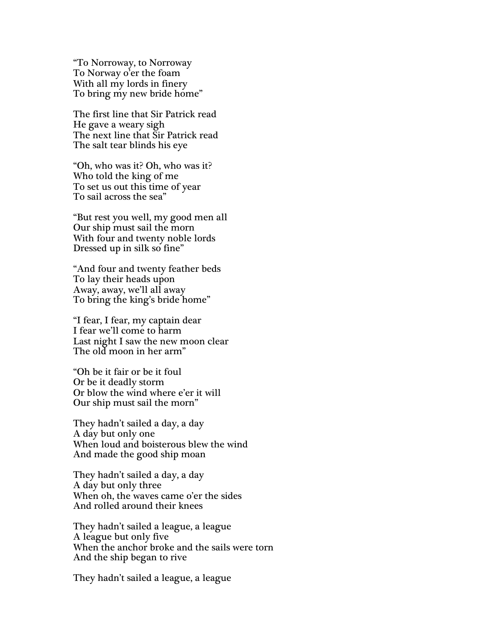"To Norroway, to Norroway To Norway o'er the foam With all my lords in finery To bring my new bride home"

The first line that Sir Patrick read He gave a weary sigh The next line that Sir Patrick read The salt tear blinds his eye

"Oh, who was it? Oh, who was it? Who told the king of me To set us out this time of year To sail across the sea"

"But rest you well, my good men all Our ship must sail the morn With four and twenty noble lords Dressed up in silk so fine"

"And four and twenty feather beds To lay their heads upon Away, away, we'll all away To bring the king's bride home"

"I fear, I fear, my captain dear I fear we'll come to harm Last night I saw the new moon clear The old moon in her arm"

"Oh be it fair or be it foul Or be it deadly storm Or blow the wind where e'er it will Our ship must sail the morn"

They hadn't sailed a day, a day A day but only one When loud and boisterous blew the wind And made the good ship moan

They hadn't sailed a day, a day A day but only three When oh, the waves came o'er the sides And rolled around their knees

They hadn't sailed a league, a league A league but only five When the anchor broke and the sails were torn And the ship began to rive

They hadn't sailed a league, a league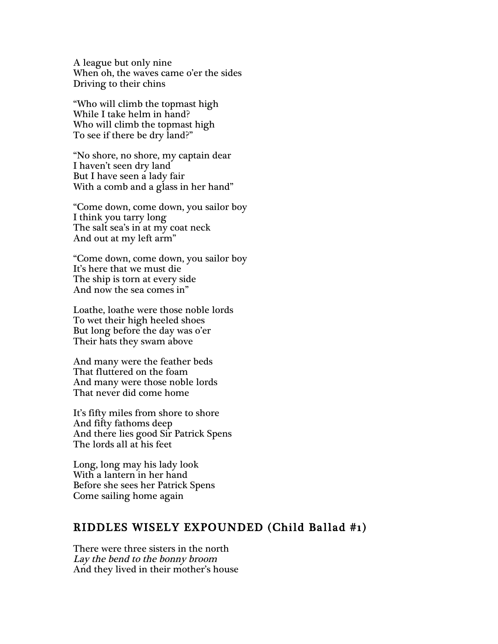A league but only nine When oh, the waves came o'er the sides Driving to their chins

"Who will climb the topmast high While I take helm in hand? Who will climb the topmast high To see if there be dry land?"

"No shore, no shore, my captain dear I haven't seen dry land But I have seen a lady fair With a comb and a glass in her hand"

"Come down, come down, you sailor boy I think you tarry long The salt sea's in at my coat neck And out at my left arm"

"Come down, come down, you sailor boy It's here that we must die The ship is torn at every side And now the sea comes in"

Loathe, loathe were those noble lords To wet their high heeled shoes But long before the day was o'er Their hats they swam above

And many were the feather beds That fluttered on the foam And many were those noble lords That never did come home

It's fifty miles from shore to shore And fifty fathoms deep And there lies good Sir Patrick Spens The lords all at his feet

Long, long may his lady look With a lantern in her hand Before she sees her Patrick Spens Come sailing home again

### RIDDLES WISELY EXPOUNDED (Child Ballad #1)

There were three sisters in the north Lay the bend to the bonny broom And they lived in their mother's house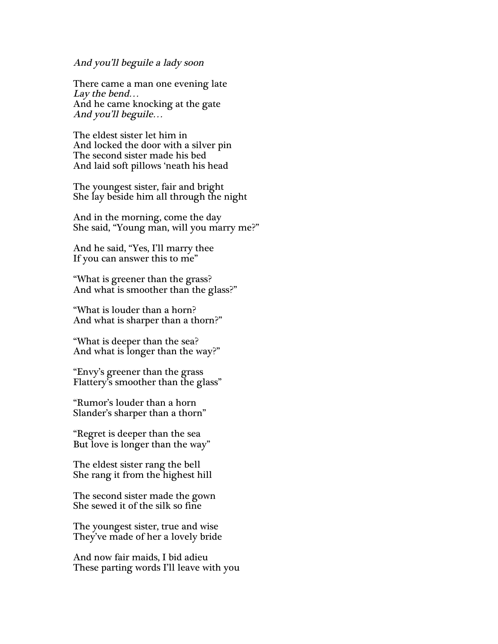#### And you'll beguile a lady soon

There came a man one evening late Lay the bend… And he came knocking at the gate And you'll beguile…

The eldest sister let him in And locked the door with a silver pin The second sister made his bed And laid soft pillows 'neath his head

The youngest sister, fair and bright She lay beside him all through the night

And in the morning, come the day She said, "Young man, will you marry me?"

And he said, "Yes, I'll marry thee If you can answer this to me"

"What is greener than the grass? And what is smoother than the glass?"

"What is louder than a horn? And what is sharper than a thorn?"

"What is deeper than the sea? And what is longer than the way?"

"Envy's greener than the grass Flattery's smoother than the glass"

"Rumor's louder than a horn Slander's sharper than a thorn"

"Regret is deeper than the sea But love is longer than the way"

The eldest sister rang the bell She rang it from the highest hill

The second sister made the gown She sewed it of the silk so fine

The youngest sister, true and wise They've made of her a lovely bride

And now fair maids, I bid adieu These parting words I'll leave with you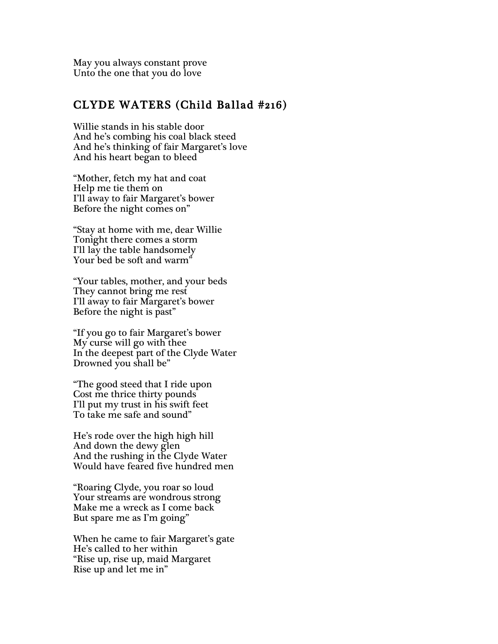May you always constant prove Unto the one that you do love

### CLYDE WATERS (Child Ballad #216)

Willie stands in his stable door And he's combing his coal black steed And he's thinking of fair Margaret's love And his heart began to bleed

"Mother, fetch my hat and coat Help me tie them on I'll away to fair Margaret's bower Before the night comes on"

"Stay at home with me, dear Willie Tonight there comes a storm I'll lay the table handsomely Your bed be soft and warm"

"Your tables, mother, and your beds They cannot bring me rest I'll away to fair Margaret's bower Before the night is past"

"If you go to fair Margaret's bower My curse will go with thee In the deepest part of the Clyde Water Drowned you shall be"

"The good steed that I ride upon Cost me thrice thirty pounds I'll put my trust in his swift feet To take me safe and sound"

He's rode over the high high hill And down the dewy glen And the rushing in the Clyde Water Would have feared five hundred men

"Roaring Clyde, you roar so loud Your streams are wondrous strong Make me a wreck as I come back But spare me as I'm going"

When he came to fair Margaret's gate He's called to her within "Rise up, rise up, maid Margaret Rise up and let me in"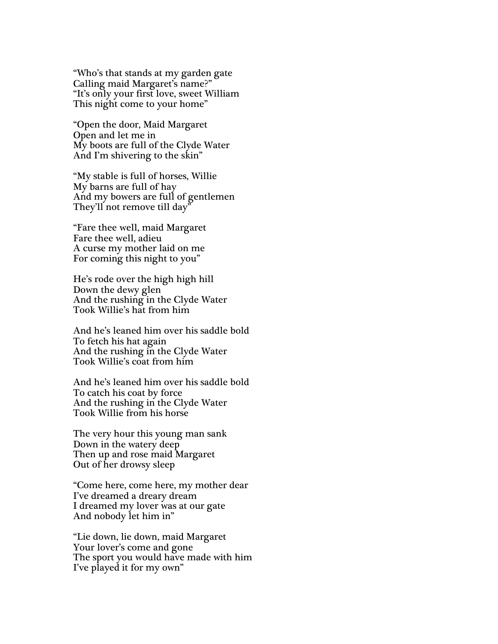"Who's that stands at my garden gate Calling maid Margaret's name?" "It's only your first love, sweet William This night come to your home"

"Open the door, Maid Margaret Open and let me in My boots are full of the Clyde Water And I'm shivering to the skin"

"My stable is full of horses, Willie My barns are full of hay And my bowers are full of gentlemen They'll not remove till day"

"Fare thee well, maid Margaret Fare thee well, adieu A curse my mother laid on me For coming this night to you"

He's rode over the high high hill Down the dewy glen And the rushing in the Clyde Water Took Willie's hat from him

And he's leaned him over his saddle bold To fetch his hat again And the rushing in the Clyde Water Took Willie's coat from him

And he's leaned him over his saddle bold To catch his coat by force And the rushing in the Clyde Water Took Willie from his horse

The very hour this young man sank Down in the watery deep Then up and rose maid Margaret Out of her drowsy sleep

"Come here, come here, my mother dear I've dreamed a dreary dream I dreamed my lover was at our gate And nobody let him in"

"Lie down, lie down, maid Margaret Your lover's come and gone The sport you would have made with him I've played it for my own"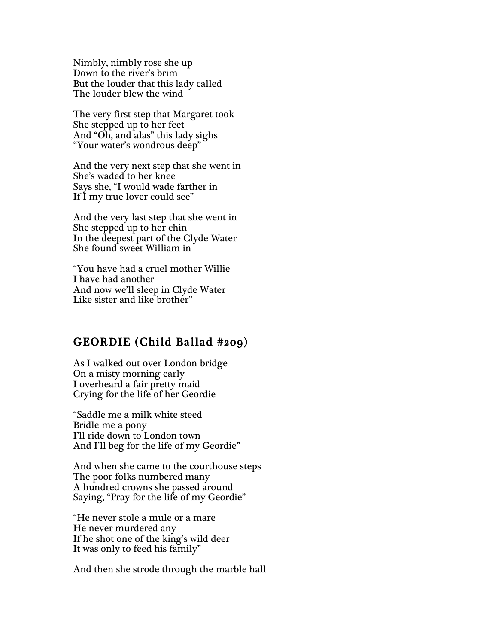Nimbly, nimbly rose she up Down to the river's brim But the louder that this lady called The louder blew the wind

The very first step that Margaret took She stepped up to her feet And "Oh, and alas" this lady sighs "Your water's wondrous deep"

And the very next step that she went in She's waded to her knee Says she, "I would wade farther in If I my true lover could see"

And the very last step that she went in She stepped up to her chin In the deepest part of the Clyde Water She found sweet William in

"You have had a cruel mother Willie I have had another And now we'll sleep in Clyde Water Like sister and like brother"

### GEORDIE (Child Ballad #209)

As I walked out over London bridge On a misty morning early I overheard a fair pretty maid Crying for the life of her Geordie

"Saddle me a milk white steed Bridle me a pony I'll ride down to London town And I'll beg for the life of my Geordie"

And when she came to the courthouse steps The poor folks numbered many A hundred crowns she passed around Saying, "Pray for the life of my Geordie"

"He never stole a mule or a mare He never murdered any If he shot one of the king's wild deer It was only to feed his family"

And then she strode through the marble hall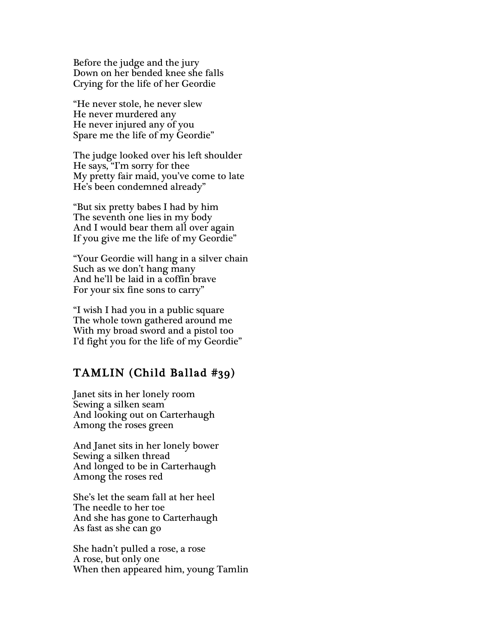Before the judge and the jury Down on her bended knee she falls Crying for the life of her Geordie

"He never stole, he never slew He never murdered any He never injured any of you Spare me the life of my Geordie"

The judge looked over his left shoulder He says, "I'm sorry for thee My pretty fair maid, you've come to late He's been condemned already"

"But six pretty babes I had by him The seventh one lies in my body And I would bear them all over again If you give me the life of my Geordie"

"Your Geordie will hang in a silver chain Such as we don't hang many And he'll be laid in a coffin brave For your six fine sons to carry"

"I wish I had you in a public square The whole town gathered around me With my broad sword and a pistol too I'd fight you for the life of my Geordie"

# TAMLIN (Child Ballad #39)

Janet sits in her lonely room Sewing a silken seam And looking out on Carterhaugh Among the roses green

And Janet sits in her lonely bower Sewing a silken thread And longed to be in Carterhaugh Among the roses red

She's let the seam fall at her heel The needle to her toe And she has gone to Carterhaugh As fast as she can go

She hadn't pulled a rose, a rose A rose, but only one When then appeared him, young Tamlin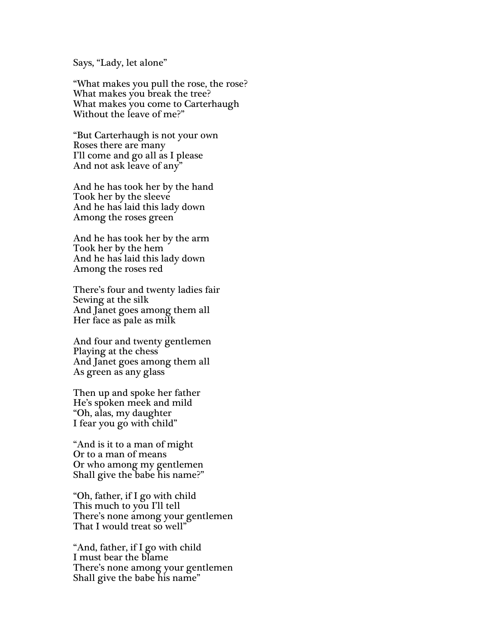#### Says, "Lady, let alone"

"What makes you pull the rose, the rose? What makes you break the tree? What makes you come to Carterhaugh Without the leave of me?"

"But Carterhaugh is not your own Roses there are many I'll come and go all as I please And not ask leave of any"

And he has took her by the hand Took her by the sleeve And he has laid this lady down Among the roses green

And he has took her by the arm Took her by the hem And he has laid this lady down Among the roses red

There's four and twenty ladies fair Sewing at the silk And Janet goes among them all Her face as pale as milk

And four and twenty gentlemen Playing at the chess And Janet goes among them all As green as any glass

Then up and spoke her father He's spoken meek and mild "Oh, alas, my daughter I fear you go with child"

"And is it to a man of might Or to a man of means Or who among my gentlemen Shall give the babe his name?"

"Oh, father, if I go with child This much to you I'll tell There's none among your gentlemen That I would treat so well"

"And, father, if I go with child I must bear the blame There's none among your gentlemen Shall give the babe his name"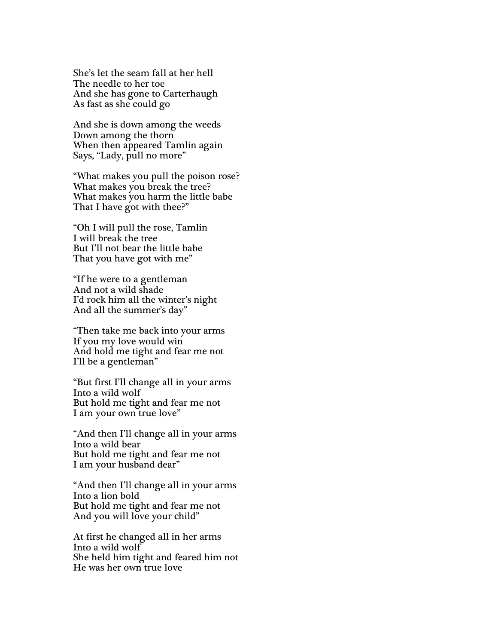She's let the seam fall at her hell The needle to her toe And she has gone to Carterhaugh As fast as she could go

And she is down among the weeds Down among the thorn When then appeared Tamlin again Says, "Lady, pull no more"

"What makes you pull the poison rose? What makes you break the tree? What makes you harm the little babe That I have got with thee?"

"Oh I will pull the rose, Tamlin I will break the tree But I'll not bear the little babe That you have got with me"

"If he were to a gentleman And not a wild shade I'd rock him all the winter's night And all the summer's day"

"Then take me back into your arms If you my love would win And hold me tight and fear me not I'll be a gentleman"

"But first I'll change all in your arms Into a wild wolf But hold me tight and fear me not I am your own true love"

"And then I'll change all in your arms Into a wild bear But hold me tight and fear me not I am your husband dear"

"And then I'll change all in your arms Into a lion bold But hold me tight and fear me not And you will love your child"

At first he changed all in her arms Into a wild wolf She held him tight and feared him not He was her own true love